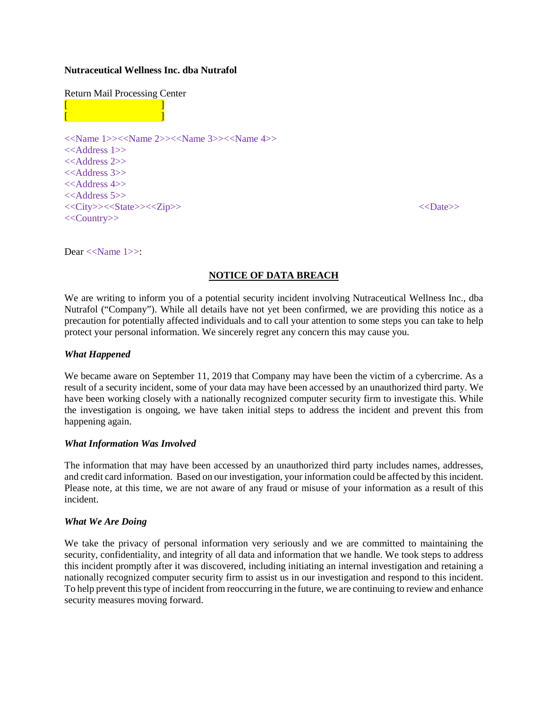### **Nutraceutical Wellness Inc. dba Nutrafol**

#### Return Mail Processing Center

 $[$   $]$  $[$   $]$ 



Dear <<Name 1>>:

# **NOTICE OF DATA BREACH**

We are writing to inform you of a potential security incident involving Nutraceutical Wellness Inc., dba Nutrafol ("Company"). While all details have not yet been confirmed, we are providing this notice as a precaution for potentially affected individuals and to call your attention to some steps you can take to help protect your personal information. We sincerely regret any concern this may cause you.

### *What Happened*

We became aware on September 11, 2019 that Company may have been the victim of a cybercrime. As a result of a security incident, some of your data may have been accessed by an unauthorized third party. We have been working closely with a nationally recognized computer security firm to investigate this. While the investigation is ongoing, we have taken initial steps to address the incident and prevent this from happening again.

# *What Information Was Involved*

The information that may have been accessed by an unauthorized third party includes names, addresses, and credit card information. Based on our investigation, your information could be affected by this incident. Please note, at this time, we are not aware of any fraud or misuse of your information as a result of this incident.

# *What We Are Doing*

We take the privacy of personal information very seriously and we are committed to maintaining the security, confidentiality, and integrity of all data and information that we handle. We took steps to address this incident promptly after it was discovered, including initiating an internal investigation and retaining a nationally recognized computer security firm to assist us in our investigation and respond to this incident. To help prevent this type of incident from reoccurring in the future, we are continuing to review and enhance security measures moving forward.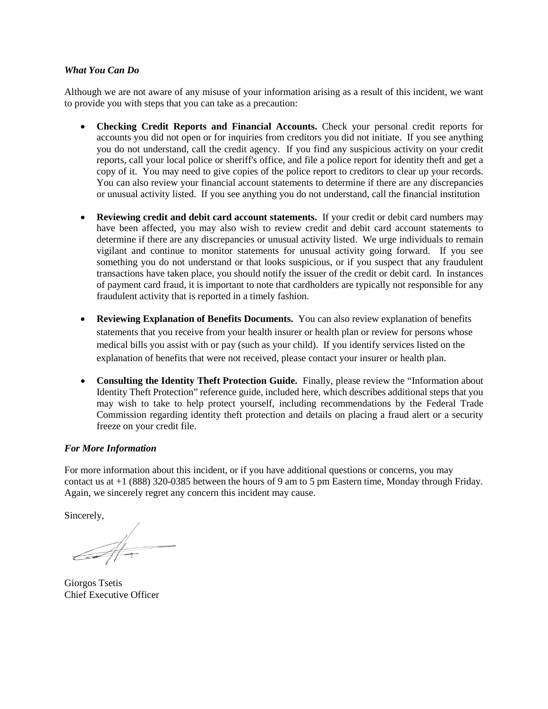### *What You Can Do*

Although we are not aware of any misuse of your information arising as a result of this incident, we want to provide you with steps that you can take as a precaution:

- **Checking Credit Reports and Financial Accounts.** Check your personal credit reports for accounts you did not open or for inquiries from creditors you did not initiate. If you see anything you do not understand, call the credit agency. If you find any suspicious activity on your credit reports, call your local police or sheriff's office, and file a police report for identity theft and get a copy of it. You may need to give copies of the police report to creditors to clear up your records. You can also review your financial account statements to determine if there are any discrepancies or unusual activity listed. If you see anything you do not understand, call the financial institution
- **Reviewing credit and debit card account statements.** If your credit or debit card numbers may have been affected, you may also wish to review credit and debit card account statements to determine if there are any discrepancies or unusual activity listed. We urge individuals to remain vigilant and continue to monitor statements for unusual activity going forward. If you see something you do not understand or that looks suspicious, or if you suspect that any fraudulent transactions have taken place, you should notify the issuer of the credit or debit card. In instances of payment card fraud, it is important to note that cardholders are typically not responsible for any fraudulent activity that is reported in a timely fashion.
- **Reviewing Explanation of Benefits Documents.** You can also review explanation of benefits statements that you receive from your health insurer or health plan or review for persons whose medical bills you assist with or pay (such as your child). If you identify services listed on the explanation of benefits that were not received, please contact your insurer or health plan.
- **Consulting the Identity Theft Protection Guide.** Finally, please review the "Information about Identity Theft Protection" reference guide, included here, which describes additional steps that you may wish to take to help protect yourself, including recommendations by the Federal Trade Commission regarding identity theft protection and details on placing a fraud alert or a security freeze on your credit file.

# *For More Information*

For more information about this incident, or if you have additional questions or concerns, you may contact us at +1 (888) 320-0385 between the hours of 9 am to 5 pm Eastern time, Monday through Friday. Again, we sincerely regret any concern this incident may cause.

Sincerely,

Giorgos Tsetis Chief Executive Officer